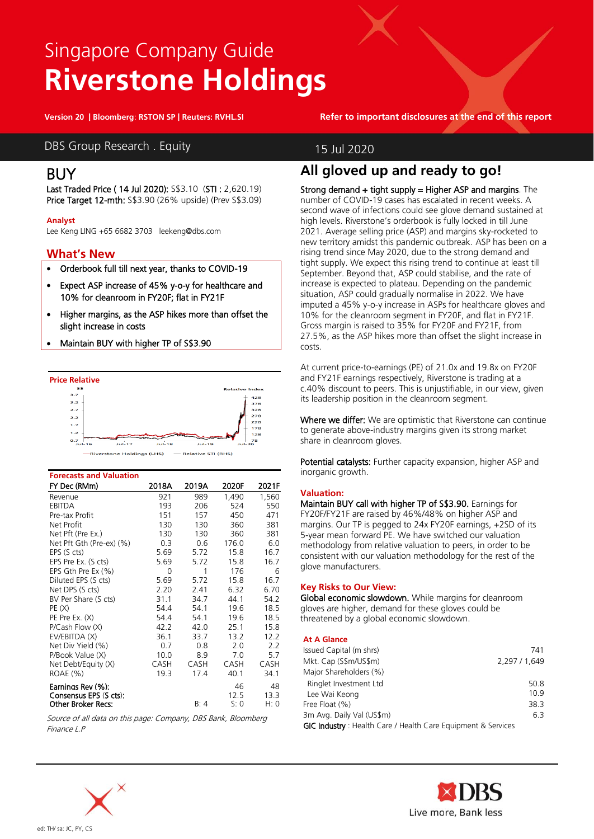# Singapore Company Guide **Riverstone Holdings**

**Version 20 | Bloomberg: RSTON SP | Reuters: RVHL.SI Refer to important disclosures at the end of this report**

DBS Group Research . Equity 15 Jul 2020

### BUY

Last Traded Price ( 14 Jul 2020): S\$3.10 (STI : 2,620.19) Price Target 12-mth: S\$3.90 (26% upside) (Prev S\$3.09)

### **Analyst**

Lee Keng LING +65 6682 3703 leekeng@dbs.com

### **What's New**

- Orderbook full till next year, thanks to COVID-19
- Expect ASP increase of 45% y-o-y for healthcare and 10% for cleanroom in FY20F; flat in FY21F
- Higher margins, as the ASP hikes more than offset the slight increase in costs
- Maintain BUY with higher TP of S\$3.90



| <b>Forecasts and Valuation</b> |       |       |       |       |
|--------------------------------|-------|-------|-------|-------|
| FY Dec (RMm)                   | 2018A | 2019A | 2020F | 2021F |
| Revenue                        | 921   | 989   | 1.490 | 1,560 |
| <b>EBITDA</b>                  | 193   | 206   | 524   | 550   |
| Pre-tax Profit                 | 151   | 157   | 450   | 471   |
| Net Profit                     | 130   | 130   | 360   | 381   |
| Net Pft (Pre Ex.)              | 130   | 130   | 360   | 381   |
| Net Pft Gth (Pre-ex) (%)       | 0.3   | 0.6   | 176.0 | 6.0   |
| EPS (S cts)                    | 5.69  | 5.72  | 15.8  | 16.7  |
| EPS Pre Ex. (S cts)            | 5.69  | 5.72  | 15.8  | 16.7  |
| EPS Gth Pre Ex (%)             | 0     | 1     | 176   | 6     |
| Diluted EPS (S cts)            | 5.69  | 5.72  | 15.8  | 16.7  |
| Net DPS (S cts)                | 2.20  | 2.41  | 6.32  | 6.70  |
| BV Per Share (S cts)           | 31.1  | 34.7  | 44.1  | 54.2  |
| PE(X)                          | 54.4  | 54.1  | 19.6  | 18.5  |
| PE Pre Ex. (X)                 | 54.4  | 54.1  | 19.6  | 18.5  |
| P/Cash Flow (X)                | 42.2  | 42.0  | 25.1  | 15.8  |
| EV/EBITDA (X)                  | 36.1  | 33.7  | 13.2  | 12.2  |
| Net Div Yield (%)              | 0.7   | 0.8   | 2.0   | 2.2   |
| P/Book Value (X)               | 10.0  | 8.9   | 7.0   | 5.7   |
| Net Debt/Equity (X)            | CASH  | CASH  | CASH  | CASH  |
| ROAE (%)                       | 19.3  | 17.4  | 40.1  | 34.1  |
| Earnings Rev (%):              |       |       | 46    | 48    |
| Consensus EPS (S cts):         |       |       | 12.5  | 13.3  |
| <b>Other Broker Recs:</b>      |       | B: 4  | S: 0  | H: 0  |

Source of all data on this page: Company, DBS Bank, Bloomberg Finance L.P



### **All gloved up and ready to go!**

Strong demand + tight supply = Higher ASP and margins. The number of COVID-19 cases has escalated in recent weeks. A second wave of infections could see glove demand sustained at high levels. Riverstone's orderbook is fully locked in till June 2021. Average selling price (ASP) and margins sky-rocketed to new territory amidst this pandemic outbreak. ASP has been on a rising trend since May 2020, due to the strong demand and tight supply. We expect this rising trend to continue at least till September. Beyond that, ASP could stabilise, and the rate of increase is expected to plateau. Depending on the pandemic situation, ASP could gradually normalise in 2022. We have imputed a 45% y-o-y increase in ASPs for healthcare gloves and 10% for the cleanroom segment in FY20F, and flat in FY21F. Gross margin is raised to 35% for FY20F and FY21F, from 27.5%, as the ASP hikes more than offset the slight increase in costs.

At current price-to-earnings (PE) of 21.0x and 19.8x on FY20F and FY21F earnings respectively, Riverstone is trading at a c.40% discount to peers. This is unjustifiable, in our view, given its leadership position in the cleanroom segment.

Where we differ: We are optimistic that Riverstone can continue to generate above-industry margins given its strong market share in cleanroom gloves.

Potential catalysts: Further capacity expansion, higher ASP and inorganic growth.

### **Valuation:**

Maintain BUY call with higher TP of S\$3.90. Earnings for FY20F/FY21F are raised by 46%/48% on higher ASP and margins. Our TP is pegged to 24x FY20F earnings, +2SD of its 5-year mean forward PE. We have switched our valuation methodology from relative valuation to peers, in order to be consistent with our valuation methodology for the rest of the glove manufacturers.

### **Key Risks to Our View:**

Global economic slowdown. While margins for cleanroom gloves are higher, demand for these gloves could be threatened by a global economic slowdown.

### **At A Glance**

| Issued Capital (m shrs)                                      | 741           |
|--------------------------------------------------------------|---------------|
| Mkt. Cap (S\$m/US\$m)                                        | 2,297 / 1,649 |
| Major Shareholders (%)                                       |               |
| Ringlet Investment Ltd                                       | 50.8          |
| Lee Wai Keong                                                | 10.9          |
| Free Float (%)                                               | 38.3          |
| 3m Avg. Daily Val (US\$m)                                    | 6.3           |
| GIC Industry: Health Care / Health Care Equipment & Services |               |

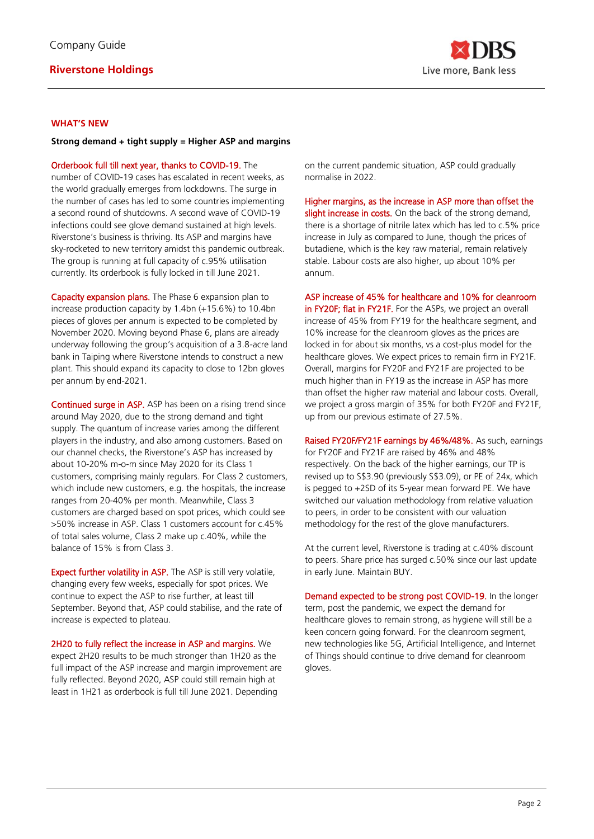

### **WHAT'S NEW**

### **Strong demand + tight supply = Higher ASP and margins**

Orderbook full till next year, thanks to COVID-19. The number of COVID-19 cases has escalated in recent weeks, as the world gradually emerges from lockdowns. The surge in the number of cases has led to some countries implementing a second round of shutdowns. A second wave of COVID-19 infections could see glove demand sustained at high levels. Riverstone's business is thriving. Its ASP and margins have sky-rocketed to new territory amidst this pandemic outbreak. The group is running at full capacity of c.95% utilisation currently. Its orderbook is fully locked in till June 2021.

Capacity expansion plans. The Phase 6 expansion plan to increase production capacity by 1.4bn (+15.6%) to 10.4bn pieces of gloves per annum is expected to be completed by November 2020. Moving beyond Phase 6, plans are already underway following the group's acquisition of a 3.8-acre land bank in Taiping where Riverstone intends to construct a new plant. This should expand its capacity to close to 12bn gloves per annum by end-2021.

Continued surge in ASP. ASP has been on a rising trend since around May 2020, due to the strong demand and tight supply. The quantum of increase varies among the different players in the industry, and also among customers. Based on our channel checks, the Riverstone's ASP has increased by about 10-20% m-o-m since May 2020 for its Class 1 customers, comprising mainly regulars. For Class 2 customers, which include new customers, e.g. the hospitals, the increase ranges from 20-40% per month. Meanwhile, Class 3 customers are charged based on spot prices, which could see >50% increase in ASP. Class 1 customers account for c.45% of total sales volume, Class 2 make up c.40%, while the balance of 15% is from Class 3.

Expect further volatility in ASP. The ASP is still very volatile, changing every few weeks, especially for spot prices. We continue to expect the ASP to rise further, at least till September. Beyond that, ASP could stabilise, and the rate of increase is expected to plateau.

2H20 to fully reflect the increase in ASP and margins. We expect 2H20 results to be much stronger than 1H20 as the full impact of the ASP increase and margin improvement are fully reflected. Beyond 2020, ASP could still remain high at least in 1H21 as orderbook is full till June 2021. Depending

on the current pandemic situation, ASP could gradually normalise in 2022.

Higher margins, as the increase in ASP more than offset the slight increase in costs. On the back of the strong demand, there is a shortage of nitrile latex which has led to c.5% price increase in July as compared to June, though the prices of butadiene, which is the key raw material, remain relatively stable. Labour costs are also higher, up about 10% per annum.

ASP increase of 45% for healthcare and 10% for cleanroom

in FY20F; flat in FY21F. For the ASPs, we project an overall increase of 45% from FY19 for the healthcare segment, and 10% increase for the cleanroom gloves as the prices are locked in for about six months, vs a cost-plus model for the healthcare gloves. We expect prices to remain firm in FY21F. Overall, margins for FY20F and FY21F are projected to be much higher than in FY19 as the increase in ASP has more than offset the higher raw material and labour costs. Overall, we project a gross margin of 35% for both FY20F and FY21F, up from our previous estimate of 27.5%.

Raised FY20F/FY21F earnings by 46%/48%. As such, earnings for FY20F and FY21F are raised by 46% and 48% respectively. On the back of the higher earnings, our TP is revised up to S\$3.90 (previously S\$3.09), or PE of 24x, which is pegged to +2SD of its 5-year mean forward PE. We have switched our valuation methodology from relative valuation to peers, in order to be consistent with our valuation methodology for the rest of the glove manufacturers.

At the current level, Riverstone is trading at c.40% discount to peers. Share price has surged c.50% since our last update in early June. Maintain BUY.

Demand expected to be strong post COVID-19. In the longer term, post the pandemic, we expect the demand for healthcare gloves to remain strong, as hygiene will still be a keen concern going forward. For the cleanroom segment, new technologies like 5G, Artificial Intelligence, and Internet of Things should continue to drive demand for cleanroom gloves.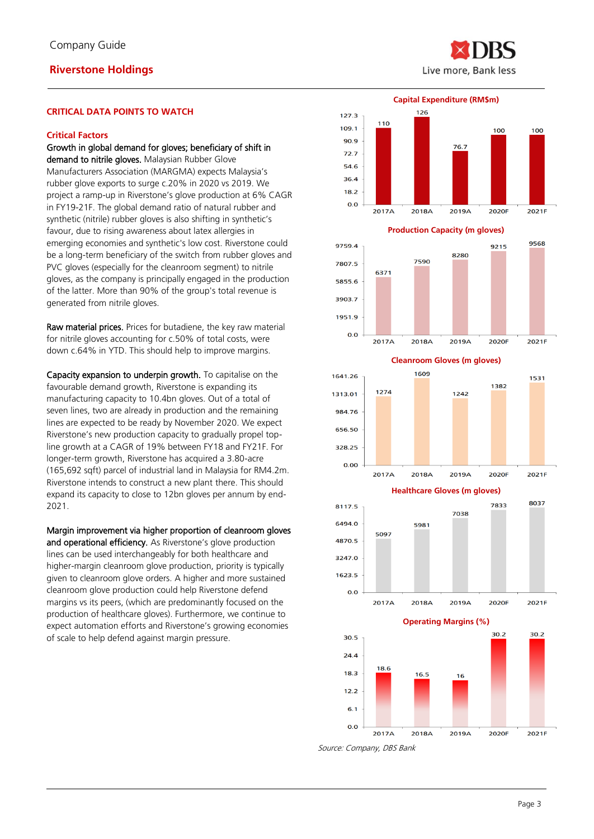Live more, Bank less

#### **CRITICAL DATA POINTS TO WATCH**

#### **Critical Factors**

#### Growth in global demand for gloves; beneficiary of shift in demand to nitrile gloves. Malaysian Rubber Glove

Manufacturers Association (MARGMA) expects Malaysia's rubber glove exports to surge c.20% in 2020 vs 2019. We project a ramp-up in Riverstone's glove production at 6% CAGR in FY19-21F. The global demand ratio of natural rubber and synthetic (nitrile) rubber gloves is also shifting in synthetic's favour, due to rising awareness about latex allergies in emerging economies and synthetic's low cost. Riverstone could be a long-term beneficiary of the switch from rubber gloves and PVC gloves (especially for the cleanroom segment) to nitrile gloves, as the company is principally engaged in the production of the latter. More than 90% of the group's total revenue is generated from nitrile gloves.

Raw material prices. Prices for butadiene, the key raw material for nitrile gloves accounting for c.50% of total costs, were down c.64% in YTD. This should help to improve margins.

Capacity expansion to underpin growth. To capitalise on the favourable demand growth, Riverstone is expanding its manufacturing capacity to 10.4bn gloves. Out of a total of seven lines, two are already in production and the remaining lines are expected to be ready by November 2020. We expect Riverstone's new production capacity to gradually propel topline growth at a CAGR of 19% between FY18 and FY21F. For longer-term growth, Riverstone has acquired a 3.80-acre (165,692 sqft) parcel of industrial land in Malaysia for RM4.2m. Riverstone intends to construct a new plant there. This should expand its capacity to close to 12bn gloves per annum by end-2021.

Margin improvement via higher proportion of cleanroom gloves and operational efficiency. As Riverstone's glove production lines can be used interchangeably for both healthcare and higher-margin cleanroom glove production, priority is typically given to cleanroom glove orders. A higher and more sustained cleanroom glove production could help Riverstone defend margins vs its peers, (which are predominantly focused on the production of healthcare gloves). Furthermore, we continue to expect automation efforts and Riverstone's growing economies of scale to help defend against margin pressure.





**Production Capacity (m gloves)**



**Cleanroom Gloves (m gloves)**





**Operating Margins (%)**



Source: Company, DBS Bank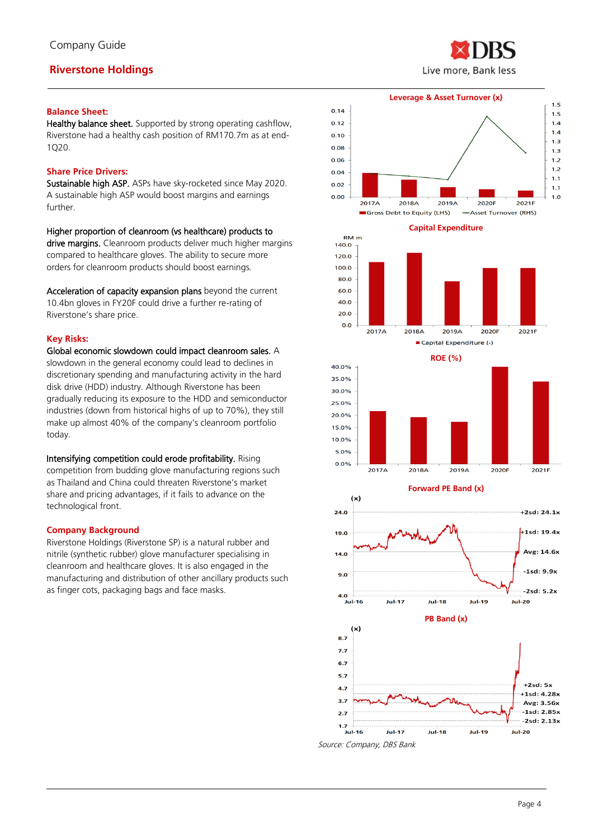### **Balance Sheet:**

Healthy balance sheet. Supported by strong operating cashflow, Riverstone had a healthy cash position of RM170.7m as at end-1Q20.

### **Share Price Drivers:**

Sustainable high ASP. ASPs have sky-rocketed since May 2020. A sustainable high ASP would boost margins and earnings further.

Higher proportion of cleanroom (vs healthcare) products to

drive margins. Cleanroom products deliver much higher margins compared to healthcare gloves. The ability to secure more orders for cleanroom products should boost earnings.

Acceleration of capacity expansion plans beyond the current 10.4bn gloves in FY20F could drive a further re-rating of Riverstone's share price.

### **Key Risks:**

Global economic slowdown could impact cleanroom sales. A slowdown in the general economy could lead to declines in discretionary spending and manufacturing activity in the hard disk drive (HDD) industry. Although Riverstone has been gradually reducing its exposure to the HDD and semiconductor industries (down from historical highs of up to 70%), they still make up almost 40% of the company's cleanroom portfolio today.

Intensifying competition could erode profitability. Rising competition from budding glove manufacturing regions such as Thailand and China could threaten Riverstone's market share and pricing advantages, if it fails to advance on the technological front.

### **Company Background**

Riverstone Holdings (Riverstone SP) is a natural rubber and nitrile (synthetic rubber) glove manufacturer specialising in cleanroom and healthcare gloves. It is also engaged in the manufacturing and distribution of other ancillary products such as finger cots, packaging bags and face masks.





**Capital Expenditure**







Source: Company, DBS Bank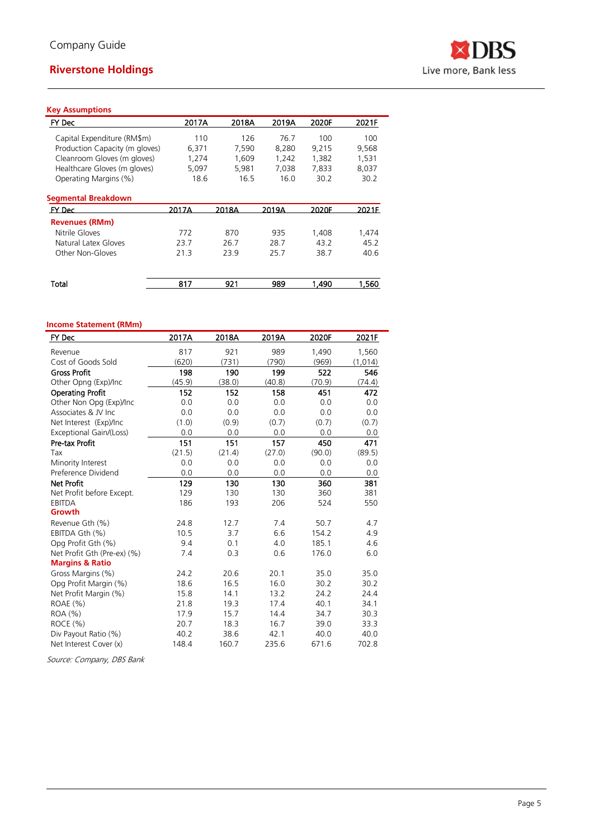

### **Key Assumptions**

| 2017A | 2018A | 2019A | 2020F | 2021F |
|-------|-------|-------|-------|-------|
| 110   | 126   | 76.7  | 100   | 100   |
| 6,371 | 7,590 | 8,280 | 9,215 | 9,568 |
| 1,274 | 1,609 | 1,242 | 1,382 | 1,531 |
| 5,097 | 5,981 | 7,038 | 7,833 | 8,037 |
| 18.6  | 16.5  | 16.0  | 30.2  | 30.2  |
|       |       |       |       |       |
| 2017A | 2018A | 2019A | 2020F | 2021F |
|       |       |       |       |       |
| 772   | 870   | 935   | 1,408 | 1,474 |
| 23.7  | 26.7  | 28.7  | 43.2  | 45.2  |
| 21.3  | 23.9  | 25.7  | 38.7  | 40.6  |
| 817   | 921   | 989   | 1.490 | 1.560 |
|       |       |       |       |       |

## **Income Statement (RMm)**

| FY Dec                      | 2017A  | 2018A  | 2019A  | 2020F  | 2021F   |
|-----------------------------|--------|--------|--------|--------|---------|
| Revenue                     | 817    | 921    | 989    | 1,490  | 1,560   |
| Cost of Goods Sold          | (620)  | (731)  | (790)  | (969)  | (1,014) |
| <b>Gross Profit</b>         | 198    | 190    | 199    | 522    | 546     |
| Other Opng (Exp)/Inc        | (45.9) | (38.0) | (40.8) | (70.9) | (74.4)  |
| <b>Operating Profit</b>     | 152    | 152    | 158    | 451    | 472     |
| Other Non Opg (Exp)/Inc     | 0.0    | 0.0    | 0.0    | 0.0    | 0.0     |
| Associates & JV Inc         | 0.0    | 0.0    | 0.0    | 0.0    | 0.0     |
| Net Interest (Exp)/Inc      | (1.0)  | (0.9)  | (0.7)  | (0.7)  | (0.7)   |
| Exceptional Gain/(Loss)     | 0.0    | 0.0    | 0.0    | 0.0    | 0.0     |
| Pre-tax Profit              | 151    | 151    | 157    | 450    | 471     |
| Tax                         | (21.5) | (21.4) | (27.0) | (90.0) | (89.5)  |
| Minority Interest           | 0.0    | 0.0    | 0.0    | 0.0    | 0.0     |
| Preference Dividend         | 0.0    | 0.0    | 0.0    | 0.0    | 0.0     |
| <b>Net Profit</b>           | 129    | 130    | 130    | 360    | 381     |
| Net Profit before Except.   | 129    | 130    | 130    | 360    | 381     |
| EBITDA                      | 186    | 193    | 206    | 524    | 550     |
| Growth                      |        |        |        |        |         |
| Revenue Gth (%)             | 24.8   | 12.7   | 7.4    | 50.7   | 4.7     |
| EBITDA Gth (%)              | 10.5   | 3.7    | 6.6    | 154.2  | 4.9     |
| Opg Profit Gth (%)          | 9.4    | 0.1    | 4.0    | 185.1  | 4.6     |
| Net Profit Gth (Pre-ex) (%) | 7.4    | 0.3    | 0.6    | 176.0  | 6.0     |
| <b>Margins &amp; Ratio</b>  |        |        |        |        |         |
| Gross Margins (%)           | 24.2   | 20.6   | 20.1   | 35.0   | 35.0    |
| Opg Profit Margin (%)       | 18.6   | 16.5   | 16.0   | 30.2   | 30.2    |
| Net Profit Margin (%)       | 15.8   | 14.1   | 13.2   | 24.2   | 24.4    |
| ROAE (%)                    | 21.8   | 19.3   | 17.4   | 40.1   | 34.1    |
| ROA (%)                     | 17.9   | 15.7   | 14.4   | 34.7   | 30.3    |
| ROCE (%)                    | 20.7   | 18.3   | 16.7   | 39.0   | 33.3    |
| Div Payout Ratio (%)        | 40.2   | 38.6   | 42.1   | 40.0   | 40.0    |
| Net Interest Cover (x)      | 148.4  | 160.7  | 235.6  | 671.6  | 702.8   |

Source: Company, DBS Bank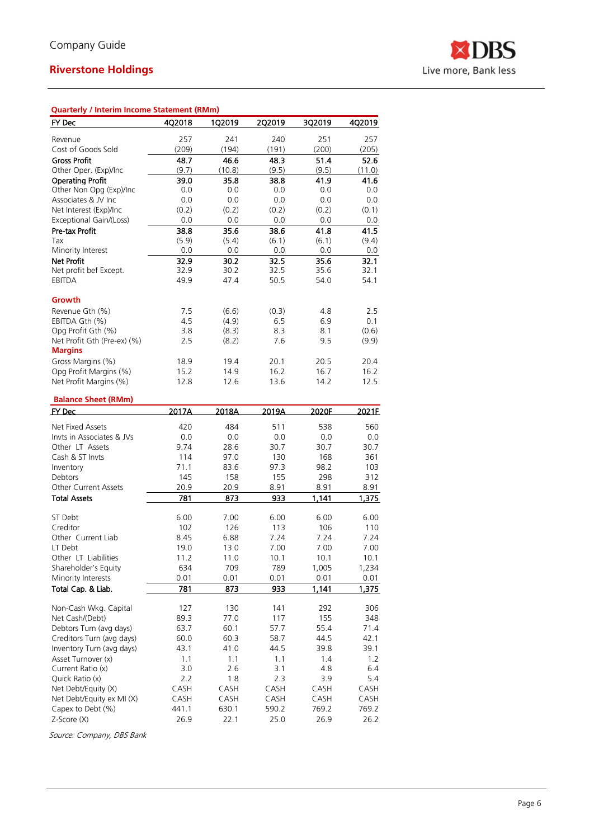

| Quarterly / Interim Income Statement (RMm) |              |              |              |              |               |
|--------------------------------------------|--------------|--------------|--------------|--------------|---------------|
| FY Dec                                     | 4Q2018       | 1Q2019       | 2Q2019       | 3Q2019       | 4Q2019        |
|                                            |              |              |              |              |               |
| Revenue<br>Cost of Goods Sold              | 257<br>(209) | 241<br>(194) | 240<br>(191) | 251<br>(200) | 257           |
| <b>Gross Profit</b>                        | 48.7         | 46.6         | 48.3         | 51.4         | (205)<br>52.6 |
| Other Oper. (Exp)/Inc                      | (9.7)        | (10.8)       | (9.5)        | (9.5)        | (11.0)        |
| <b>Operating Profit</b>                    | 39.0         | 35.8         | 38.8         | 41.9         | 41.6          |
| Other Non Opg (Exp)/Inc                    | 0.0          | 0.0          | 0.0          | 0.0          | 0.0           |
| Associates & JV Inc                        | 0.0          | 0.0          | 0.0          | 0.0          | 0.0           |
| Net Interest (Exp)/Inc                     | (0.2)        | (0.2)        | (0.2)        | (0.2)        | (0.1)         |
| Exceptional Gain/(Loss)                    | 0.0          | 0.0          | 0.0          | 0.0          | 0.0           |
| Pre-tax Profit                             | 38.8         | 35.6         | 38.6         | 41.8         | 41.5          |
| Tax                                        | (5.9)        | (5.4)        | (6.1)        | (6.1)        | (9.4)         |
| Minority Interest                          | 0.0          | 0.0          | 0.0          | 0.0          | 0.0           |
| <b>Net Profit</b>                          | 32.9         | 30.2         | 32.5         | 35.6         | 32.1          |
| Net profit bef Except.                     | 32.9         | 30.2         | 32.5         | 35.6         | 32.1          |
| <b>EBITDA</b>                              | 49.9         | 47.4         | 50.5         | 54.0         | 54.1          |
| Growth                                     |              |              |              |              |               |
| Revenue Gth (%)                            | 7.5          | (6.6)        | (0.3)        | 4.8          | 2.5           |
| EBITDA Gth (%)                             | 4.5          | (4.9)        | 6.5          | 6.9          | 0.1           |
| Opg Profit Gth (%)                         | 3.8          | (8.3)        | 8.3          | 8.1          | (0.6)         |
| Net Profit Gth (Pre-ex) (%)                | 2.5          | (8.2)        | 7.6          | 9.5          | (9.9)         |
| <b>Margins</b><br>Gross Margins (%)        | 18.9         | 19.4         | 20.1         | 20.5         | 20.4          |
| Opg Profit Margins (%)                     | 15.2         | 14.9         | 16.2         | 16.7         | 16.2          |
| Net Profit Margins (%)                     | 12.8         | 12.6         | 13.6         | 14.2         | 12.5          |
|                                            |              |              |              |              |               |
| <b>Balance Sheet (RMm)</b>                 |              |              |              |              |               |
| <b>FY Dec</b>                              | 2017A        | 2018A        | 2019A        | 2020F        | 2021E         |
| Net Fixed Assets                           | 420          | 484          | 511          | 538          | 560           |
| Invts in Associates & JVs                  | 0.0          | 0.0          | 0.0          | 0.0          | 0.0           |
| Other LT Assets                            | 9.74         | 28.6         | 30.7         | 30.7         | 30.7          |
| Cash & ST Invts                            | 114          | 97.0         | 130          | 168          | 361           |
| Inventory                                  | 71.1         | 83.6         | 97.3         | 98.2         | 103           |
| Debtors                                    | 145          | 158          | 155          | 298          | 312           |
| <b>Other Current Assets</b>                | 20.9         | 20.9         | 8.91         | 8.91         | 8.91          |
| <b>Total Assets</b>                        | 781          | 873          | 933          | 1,141        | 1,375         |
| ST Debt                                    | 6.00         | 7.00         | 6.00         | 6.00         | 6.00          |
| Creditor                                   | 102          | 126          | 113          | 106          | 110           |
| Other Current Liab                         | 8.45         | 6.88         | 7.24         | 7.24         | 7.24          |
| LT Debt                                    | 19.0         | 13.0         | 7.00         | 7.00         | 7.00          |
| Other LT Liabilities                       | 11.2         | 11.0         | 10.1         | 10.1         | 10.1          |
| Shareholder's Equity                       | 634          | 709          | 789          | 1,005        | 1,234         |
| Minority Interests                         | 0.01         | 0.01         | 0.01         | 0.01         | 0.01          |
| Total Cap. & Liab.                         | 781          | 873          | 933          | 1.141        | 1,375         |
| Non-Cash Wkg. Capital                      | 127          | 130          | 141          | 292          | 306           |
| Net Cash/(Debt)                            | 89.3         | 77.0         | 117          | 155          | 348           |
| Debtors Turn (avg days)                    | 63.7         | 60.1         | 57.7         | 55.4         | 71.4          |
| Creditors Turn (avg days)                  | 60.0         | 60.3         | 58.7         | 44.5         | 42.1          |
| Inventory Turn (avg days)                  | 43.1         | 41.0         | 44.5         | 39.8         | 39.1          |
| Asset Turnover (x)                         | 1.1          | 1.1          | 1.1          | 1.4          | 1.2           |
| Current Ratio (x)                          | 3.0          | 2.6          | 3.1          | 4.8          | 6.4           |
| Quick Ratio (x)                            | 2.2          | 1.8          | 2.3          | 3.9          | 5.4           |
| Net Debt/Equity (X)                        | CASH         | CASH         | CASH         | CASH         | CASH          |
| Net Debt/Equity ex MI (X)                  | CASH         | CASH         | CASH         | CASH         | CASH          |
| Capex to Debt (%)                          | 441.1        | 630.1        | 590.2        | 769.2        | 769.2         |
| Z-Score (X)                                | 26.9         | 22.1         | 25.0         | 26.9         | 26.2          |

Source: Company, DBS Bank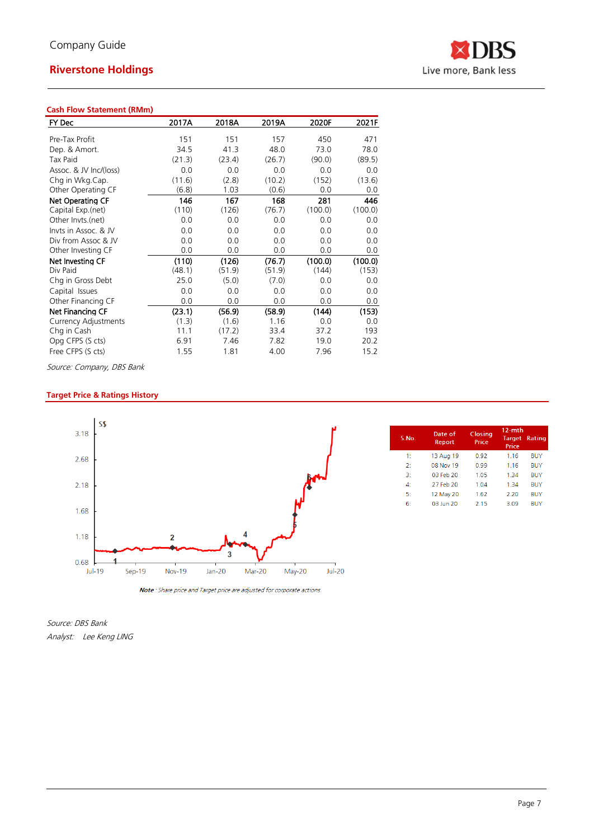### **Cash Flow Statement (RMm)**

| FY Dec                      | 2017A  | 2018A  | 2019A  | 2020F   | 2021F   |
|-----------------------------|--------|--------|--------|---------|---------|
| Pre-Tax Profit              | 151    | 151    | 157    | 450     | 471     |
| Dep. & Amort.               | 34.5   | 41.3   | 48.0   | 73.0    | 78.0    |
|                             |        |        |        |         |         |
| Tax Paid                    | (21.3) | (23.4) | (26.7) | (90.0)  | (89.5)  |
| Assoc. & JV Inc/(loss)      | 0.0    | 0.0    | 0.0    | 0.0     | 0.0     |
| Chg in Wkg.Cap.             | (11.6) | (2.8)  | (10.2) | (152)   | (13.6)  |
| Other Operating CF          | (6.8)  | 1.03   | (0.6)  | 0.0     | 0.0     |
| Net Operating CF            | 146    | 167    | 168    | 281     | 446     |
| Capital Exp.(net)           | (110)  | (126)  | (76.7) | (100.0) | (100.0) |
| Other Invts.(net)           | 0.0    | 0.0    | 0.0    | 0.0     | 0.0     |
| Invts in Assoc. & JV        | 0.0    | 0.0    | 0.0    | 0.0     | 0.0     |
| Div from Assoc & JV         | 0.0    | 0.0    | 0.0    | 0.0     | 0.0     |
| Other Investing CF          | 0.0    | 0.0    | 0.0    | 0.0     | 0.0     |
| Net Investing CF            | (110)  | (126)  | (76.7) | (100.0) | (100.0) |
| Div Paid                    | (48.1) | (51.9) | (51.9) | (144)   | (153)   |
| Chg in Gross Debt           | 25.0   | (5.0)  | (7.0)  | 0.0     | 0.0     |
| Capital Issues              | 0.0    | 0.0    | 0.0    | 0.0     | 0.0     |
| Other Financing CF          | 0.0    | 0.0    | 0.0    | 0.0     | 0.0     |
| Net Financing CF            | (23.1) | (56.9) | (58.9) | (144)   | (153)   |
| <b>Currency Adjustments</b> | (1.3)  | (1.6)  | 1.16   | 0.0     | 0.0     |
| Chg in Cash                 | 11.1   | (17.2) | 33.4   | 37.2    | 193     |
| Opg CFPS (S cts)            | 6.91   | 7.46   | 7.82   | 19.0    | 20.2    |
| Free CFPS (S cts)           | 1.55   | 1.81   | 4.00   | 7.96    | 15.2    |

Source: Company, DBS Bank

### **Target Price & Ratings History**



Note: Share price and Target price are adjusted for corporate actions.

Source: DBS Bank Analyst: Lee Keng LING

| S.No.        | Date of<br>Report | Closing<br>Price | $12-$ mth<br><b>Target</b><br>Price | Rating     |
|--------------|-------------------|------------------|-------------------------------------|------------|
| 1:           | 13 Aug 19         | 0.92             | 1.16                                | BUY        |
| 2:           | 08 Nov 19         | 0.99             | 1 1 6                               | <b>BUY</b> |
| 3:           | 03 Feb 20         | 1.05             | 1.34                                | <b>BUY</b> |
| $\mathbf{A}$ | 27 Feb 20         | 1.04             | 1.34                                | <b>BUY</b> |
| 5:           | 12 May 20         | 1.62             | 2.20                                | <b>BUY</b> |
| . آ          | 03 lun 20         | 2.15             | 3.09                                | <b>RUY</b> |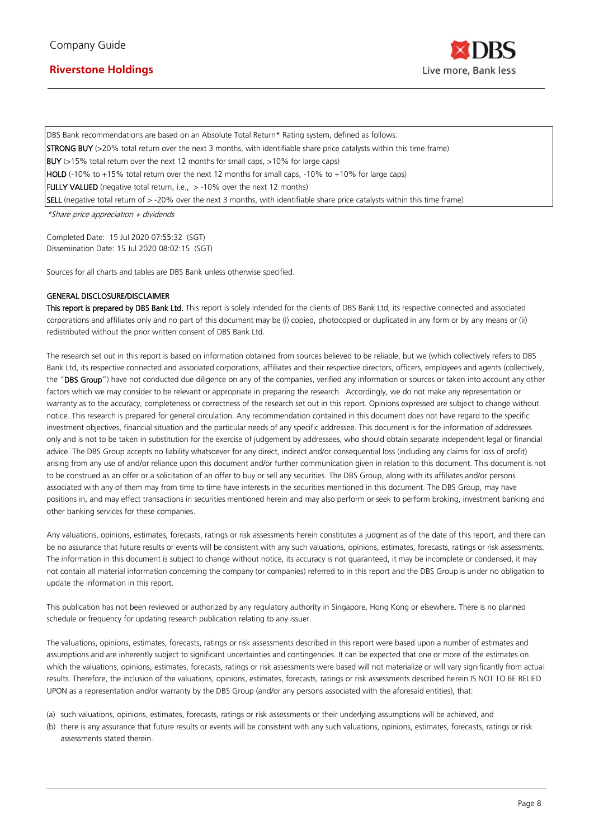

DBS Bank recommendations are based on an Absolute Total Return\* Rating system, defined as follows: STRONG BUY (>20% total return over the next 3 months, with identifiable share price catalysts within this time frame) BUY (>15% total return over the next 12 months for small caps, >10% for large caps) HOLD (-10% to +15% total return over the next 12 months for small caps, -10% to +10% for large caps) FULLY VALUED (negative total return, i.e., > -10% over the next 12 months) SELL (negative total return of > -20% over the next 3 months, with identifiable share price catalysts within this time frame)

\*Share price appreciation + dividends

Completed Date: 15 Jul 2020 07:55:32 (SGT) Dissemination Date: 15 Jul 2020 08:02:15 (SGT)

Sources for all charts and tables are DBS Bank unless otherwise specified.

#### GENERAL DISCLOSURE/DISCLAIMER

This report is prepared by DBS Bank Ltd. This report is solely intended for the clients of DBS Bank Ltd, its respective connected and associated corporations and affiliates only and no part of this document may be (i) copied, photocopied or duplicated in any form or by any means or (ii) redistributed without the prior written consent of DBS Bank Ltd.

The research set out in this report is based on information obtained from sources believed to be reliable, but we (which collectively refers to DBS Bank Ltd, its respective connected and associated corporations, affiliates and their respective directors, officers, employees and agents (collectively, the "DBS Group") have not conducted due diligence on any of the companies, verified any information or sources or taken into account any other factors which we may consider to be relevant or appropriate in preparing the research. Accordingly, we do not make any representation or warranty as to the accuracy, completeness or correctness of the research set out in this report. Opinions expressed are subject to change without notice. This research is prepared for general circulation. Any recommendation contained in this document does not have regard to the specific investment objectives, financial situation and the particular needs of any specific addressee. This document is for the information of addressees only and is not to be taken in substitution for the exercise of judgement by addressees, who should obtain separate independent legal or financial advice. The DBS Group accepts no liability whatsoever for any direct, indirect and/or consequential loss (including any claims for loss of profit) arising from any use of and/or reliance upon this document and/or further communication given in relation to this document. This document is not to be construed as an offer or a solicitation of an offer to buy or sell any securities. The DBS Group, along with its affiliates and/or persons associated with any of them may from time to time have interests in the securities mentioned in this document. The DBS Group, may have positions in, and may effect transactions in securities mentioned herein and may also perform or seek to perform broking, investment banking and other banking services for these companies.

Any valuations, opinions, estimates, forecasts, ratings or risk assessments herein constitutes a judgment as of the date of this report, and there can be no assurance that future results or events will be consistent with any such valuations, opinions, estimates, forecasts, ratings or risk assessments. The information in this document is subject to change without notice, its accuracy is not guaranteed, it may be incomplete or condensed, it may not contain all material information concerning the company (or companies) referred to in this report and the DBS Group is under no obligation to update the information in this report.

This publication has not been reviewed or authorized by any regulatory authority in Singapore, Hong Kong or elsewhere. There is no planned schedule or frequency for updating research publication relating to any issuer.

The valuations, opinions, estimates, forecasts, ratings or risk assessments described in this report were based upon a number of estimates and assumptions and are inherently subject to significant uncertainties and contingencies. It can be expected that one or more of the estimates on which the valuations, opinions, estimates, forecasts, ratings or risk assessments were based will not materialize or will vary significantly from actual results. Therefore, the inclusion of the valuations, opinions, estimates, forecasts, ratings or risk assessments described herein IS NOT TO BE RELIED UPON as a representation and/or warranty by the DBS Group (and/or any persons associated with the aforesaid entities), that:

- (a) such valuations, opinions, estimates, forecasts, ratings or risk assessments or their underlying assumptions will be achieved, and
- (b) there is any assurance that future results or events will be consistent with any such valuations, opinions, estimates, forecasts, ratings or risk assessments stated therein.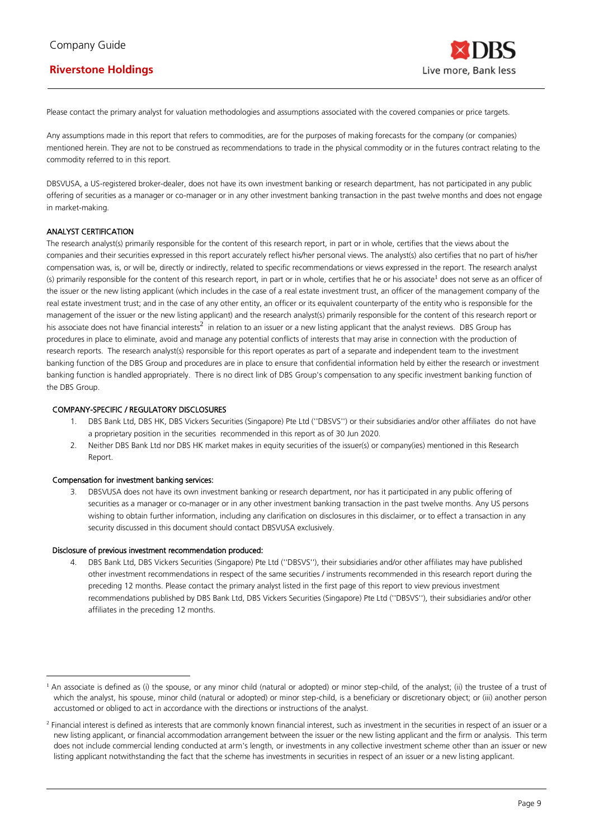Please contact the primary analyst for valuation methodologies and assumptions associated with the covered companies or price targets.

Any assumptions made in this report that refers to commodities, are for the purposes of making forecasts for the company (or companies) mentioned herein. They are not to be construed as recommendations to trade in the physical commodity or in the futures contract relating to the commodity referred to in this report.

DBSVUSA, a US-registered broker-dealer, does not have its own investment banking or research department, has not participated in any public offering of securities as a manager or co-manager or in any other investment banking transaction in the past twelve months and does not engage in market-making.

#### ANALYST CERTIFICATION

The research analyst(s) primarily responsible for the content of this research report, in part or in whole, certifies that the views about the companies and their securities expressed in this report accurately reflect his/her personal views. The analyst(s) also certifies that no part of his/her compensation was, is, or will be, directly or indirectly, related to specific recommendations or views expressed in the report. The research analyst (s) primarily responsible for the content of this research report, in part or in whole, certifies that he or his associate<sup>1</sup> does not serve as an officer of the issuer or the new listing applicant (which includes in the case of a real estate investment trust, an officer of the management company of the real estate investment trust; and in the case of any other entity, an officer or its equivalent counterparty of the entity who is responsible for the management of the issuer or the new listing applicant) and the research analyst(s) primarily responsible for the content of this research report or his associate does not have financial interests<sup>2</sup> in relation to an issuer or a new listing applicant that the analyst reviews. DBS Group has procedures in place to eliminate, avoid and manage any potential conflicts of interests that may arise in connection with the production of research reports. The research analyst(s) responsible for this report operates as part of a separate and independent team to the investment banking function of the DBS Group and procedures are in place to ensure that confidential information held by either the research or investment banking function is handled appropriately. There is no direct link of DBS Group's compensation to any specific investment banking function of the DBS Group.

#### COMPANY-SPECIFIC / REGULATORY DISCLOSURES

- 1. DBS Bank Ltd, DBS HK, DBS Vickers Securities (Singapore) Pte Ltd (''DBSVS'') or their subsidiaries and/or other affiliates do not have a proprietary position in the securities recommended in this report as of 30 Jun 2020.
- 2. Neither DBS Bank Ltd nor DBS HK market makes in equity securities of the issuer(s) or company(ies) mentioned in this Research Report.

#### Compensation for investment banking services:

3. DBSVUSA does not have its own investment banking or research department, nor has it participated in any public offering of securities as a manager or co-manager or in any other investment banking transaction in the past twelve months. Any US persons wishing to obtain further information, including any clarification on disclosures in this disclaimer, or to effect a transaction in any security discussed in this document should contact DBSVUSA exclusively.

#### Disclosure of previous investment recommendation produced:

4. DBS Bank Ltd, DBS Vickers Securities (Singapore) Pte Ltd (''DBSVS''), their subsidiaries and/or other affiliates may have published other investment recommendations in respect of the same securities / instruments recommended in this research report during the preceding 12 months. Please contact the primary analyst listed in the first page of this report to view previous investment recommendations published by DBS Bank Ltd, DBS Vickers Securities (Singapore) Pte Ltd (''DBSVS''), their subsidiaries and/or other affiliates in the preceding 12 months.

<sup>&</sup>lt;sup>1</sup> An associate is defined as (i) the spouse, or any minor child (natural or adopted) or minor step-child, of the analyst; (ii) the trustee of a trust of which the analyst, his spouse, minor child (natural or adopted) or minor step-child, is a beneficiary or discretionary object; or (iii) another person accustomed or obliged to act in accordance with the directions or instructions of the analyst.

<sup>&</sup>lt;sup>2</sup> Financial interest is defined as interests that are commonly known financial interest, such as investment in the securities in respect of an issuer or a new listing applicant, or financial accommodation arrangement between the issuer or the new listing applicant and the firm or analysis. This term does not include commercial lending conducted at arm's length, or investments in any collective investment scheme other than an issuer or new listing applicant notwithstanding the fact that the scheme has investments in securities in respect of an issuer or a new listing applicant.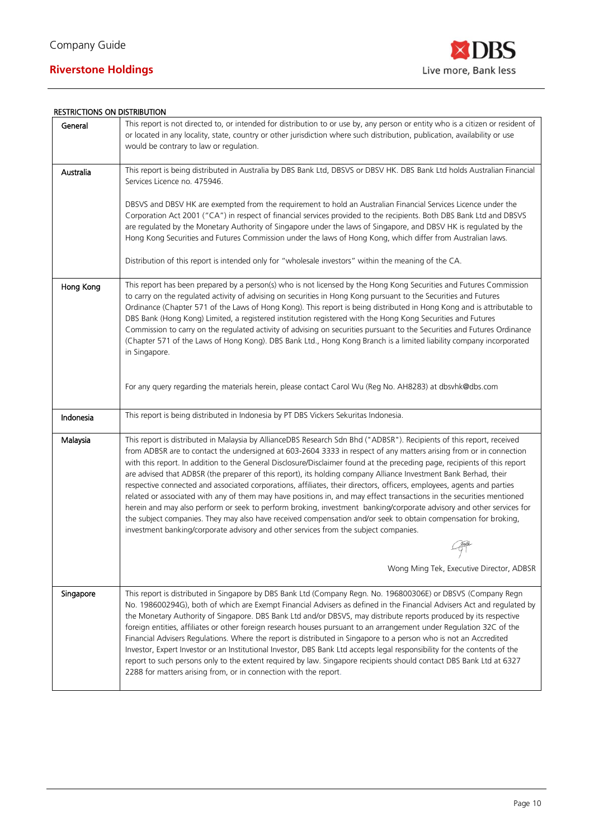

### RESTRICTIONS ON DISTRIBUTION

|           | יוטוו טשורוכוס זיוט כווטורטוויכם                                                                                                                                                                                                                                                                                                                                                                                                                                                                                                                                                                                                                                                                                                                                                                                                                                                                                                                                                                                                                                                   |
|-----------|------------------------------------------------------------------------------------------------------------------------------------------------------------------------------------------------------------------------------------------------------------------------------------------------------------------------------------------------------------------------------------------------------------------------------------------------------------------------------------------------------------------------------------------------------------------------------------------------------------------------------------------------------------------------------------------------------------------------------------------------------------------------------------------------------------------------------------------------------------------------------------------------------------------------------------------------------------------------------------------------------------------------------------------------------------------------------------|
| General   | This report is not directed to, or intended for distribution to or use by, any person or entity who is a citizen or resident of<br>or located in any locality, state, country or other jurisdiction where such distribution, publication, availability or use<br>would be contrary to law or regulation.                                                                                                                                                                                                                                                                                                                                                                                                                                                                                                                                                                                                                                                                                                                                                                           |
| Australia | This report is being distributed in Australia by DBS Bank Ltd, DBSVS or DBSV HK. DBS Bank Ltd holds Australian Financial<br>Services Licence no. 475946.                                                                                                                                                                                                                                                                                                                                                                                                                                                                                                                                                                                                                                                                                                                                                                                                                                                                                                                           |
|           | DBSVS and DBSV HK are exempted from the requirement to hold an Australian Financial Services Licence under the<br>Corporation Act 2001 ("CA") in respect of financial services provided to the recipients. Both DBS Bank Ltd and DBSVS<br>are regulated by the Monetary Authority of Singapore under the laws of Singapore, and DBSV HK is regulated by the<br>Hong Kong Securities and Futures Commission under the laws of Hong Kong, which differ from Australian laws.                                                                                                                                                                                                                                                                                                                                                                                                                                                                                                                                                                                                         |
|           | Distribution of this report is intended only for "wholesale investors" within the meaning of the CA.                                                                                                                                                                                                                                                                                                                                                                                                                                                                                                                                                                                                                                                                                                                                                                                                                                                                                                                                                                               |
| Hong Kong | This report has been prepared by a person(s) who is not licensed by the Hong Kong Securities and Futures Commission<br>to carry on the regulated activity of advising on securities in Hong Kong pursuant to the Securities and Futures<br>Ordinance (Chapter 571 of the Laws of Hong Kong). This report is being distributed in Hong Kong and is attributable to<br>DBS Bank (Hong Kong) Limited, a registered institution registered with the Hong Kong Securities and Futures<br>Commission to carry on the regulated activity of advising on securities pursuant to the Securities and Futures Ordinance<br>(Chapter 571 of the Laws of Hong Kong). DBS Bank Ltd., Hong Kong Branch is a limited liability company incorporated<br>in Singapore.                                                                                                                                                                                                                                                                                                                               |
|           | For any query regarding the materials herein, please contact Carol Wu (Reg No. AH8283) at dbsvhk@dbs.com                                                                                                                                                                                                                                                                                                                                                                                                                                                                                                                                                                                                                                                                                                                                                                                                                                                                                                                                                                           |
| Indonesia | This report is being distributed in Indonesia by PT DBS Vickers Sekuritas Indonesia.                                                                                                                                                                                                                                                                                                                                                                                                                                                                                                                                                                                                                                                                                                                                                                                                                                                                                                                                                                                               |
| Malaysia  | This report is distributed in Malaysia by AllianceDBS Research Sdn Bhd ("ADBSR"). Recipients of this report, received<br>from ADBSR are to contact the undersigned at 603-2604 3333 in respect of any matters arising from or in connection<br>with this report. In addition to the General Disclosure/Disclaimer found at the preceding page, recipients of this report<br>are advised that ADBSR (the preparer of this report), its holding company Alliance Investment Bank Berhad, their<br>respective connected and associated corporations, affiliates, their directors, officers, employees, agents and parties<br>related or associated with any of them may have positions in, and may effect transactions in the securities mentioned<br>herein and may also perform or seek to perform broking, investment banking/corporate advisory and other services for<br>the subject companies. They may also have received compensation and/or seek to obtain compensation for broking,<br>investment banking/corporate advisory and other services from the subject companies. |
|           | Wong Ming Tek, Executive Director, ADBSR                                                                                                                                                                                                                                                                                                                                                                                                                                                                                                                                                                                                                                                                                                                                                                                                                                                                                                                                                                                                                                           |
| Singapore | This report is distributed in Singapore by DBS Bank Ltd (Company Regn. No. 196800306E) or DBSVS (Company Regn<br>No. 198600294G), both of which are Exempt Financial Advisers as defined in the Financial Advisers Act and regulated by<br>the Monetary Authority of Singapore. DBS Bank Ltd and/or DBSVS, may distribute reports produced by its respective<br>foreign entities, affiliates or other foreign research houses pursuant to an arrangement under Regulation 32C of the<br>Financial Advisers Regulations. Where the report is distributed in Singapore to a person who is not an Accredited<br>Investor, Expert Investor or an Institutional Investor, DBS Bank Ltd accepts legal responsibility for the contents of the<br>report to such persons only to the extent required by law. Singapore recipients should contact DBS Bank Ltd at 6327<br>2288 for matters arising from, or in connection with the report.                                                                                                                                                  |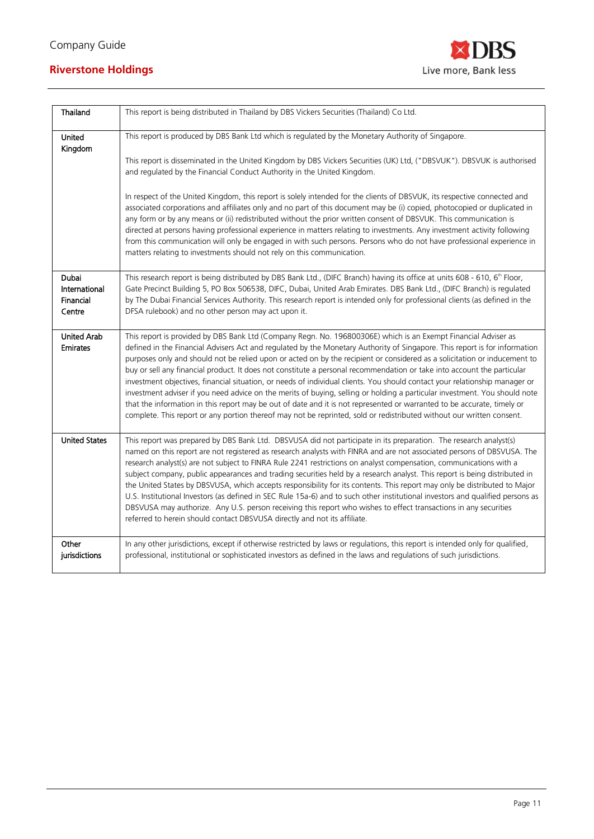

| Thailand                                      | This report is being distributed in Thailand by DBS Vickers Securities (Thailand) Co Ltd.                                                                                                                                                                                                                                                                                                                                                                                                                                                                                                                                                                                                                                                                                                                                                                                                                                                                                                                             |
|-----------------------------------------------|-----------------------------------------------------------------------------------------------------------------------------------------------------------------------------------------------------------------------------------------------------------------------------------------------------------------------------------------------------------------------------------------------------------------------------------------------------------------------------------------------------------------------------------------------------------------------------------------------------------------------------------------------------------------------------------------------------------------------------------------------------------------------------------------------------------------------------------------------------------------------------------------------------------------------------------------------------------------------------------------------------------------------|
| <b>United</b><br>Kingdom                      | This report is produced by DBS Bank Ltd which is regulated by the Monetary Authority of Singapore.                                                                                                                                                                                                                                                                                                                                                                                                                                                                                                                                                                                                                                                                                                                                                                                                                                                                                                                    |
|                                               | This report is disseminated in the United Kingdom by DBS Vickers Securities (UK) Ltd, ("DBSVUK"). DBSVUK is authorised<br>and regulated by the Financial Conduct Authority in the United Kingdom.                                                                                                                                                                                                                                                                                                                                                                                                                                                                                                                                                                                                                                                                                                                                                                                                                     |
|                                               | In respect of the United Kingdom, this report is solely intended for the clients of DBSVUK, its respective connected and<br>associated corporations and affiliates only and no part of this document may be (i) copied, photocopied or duplicated in<br>any form or by any means or (ii) redistributed without the prior written consent of DBSVUK. This communication is<br>directed at persons having professional experience in matters relating to investments. Any investment activity following<br>from this communication will only be engaged in with such persons. Persons who do not have professional experience in<br>matters relating to investments should not rely on this communication.                                                                                                                                                                                                                                                                                                              |
| Dubai<br>International<br>Financial<br>Centre | This research report is being distributed by DBS Bank Ltd., (DIFC Branch) having its office at units 608 - 610, 6 <sup>th</sup> Floor,<br>Gate Precinct Building 5, PO Box 506538, DIFC, Dubai, United Arab Emirates. DBS Bank Ltd., (DIFC Branch) is regulated<br>by The Dubai Financial Services Authority. This research report is intended only for professional clients (as defined in the<br>DFSA rulebook) and no other person may act upon it.                                                                                                                                                                                                                                                                                                                                                                                                                                                                                                                                                                |
| <b>United Arab</b><br><b>Emirates</b>         | This report is provided by DBS Bank Ltd (Company Regn. No. 196800306E) which is an Exempt Financial Adviser as<br>defined in the Financial Advisers Act and regulated by the Monetary Authority of Singapore. This report is for information<br>purposes only and should not be relied upon or acted on by the recipient or considered as a solicitation or inducement to<br>buy or sell any financial product. It does not constitute a personal recommendation or take into account the particular<br>investment objectives, financial situation, or needs of individual clients. You should contact your relationship manager or<br>investment adviser if you need advice on the merits of buying, selling or holding a particular investment. You should note<br>that the information in this report may be out of date and it is not represented or warranted to be accurate, timely or<br>complete. This report or any portion thereof may not be reprinted, sold or redistributed without our written consent. |
| <b>United States</b>                          | This report was prepared by DBS Bank Ltd. DBSVUSA did not participate in its preparation. The research analyst(s)<br>named on this report are not registered as research analysts with FINRA and are not associated persons of DBSVUSA. The<br>research analyst(s) are not subject to FINRA Rule 2241 restrictions on analyst compensation, communications with a<br>subject company, public appearances and trading securities held by a research analyst. This report is being distributed in<br>the United States by DBSVUSA, which accepts responsibility for its contents. This report may only be distributed to Major<br>U.S. Institutional Investors (as defined in SEC Rule 15a-6) and to such other institutional investors and qualified persons as<br>DBSVUSA may authorize. Any U.S. person receiving this report who wishes to effect transactions in any securities<br>referred to herein should contact DBSVUSA directly and not its affiliate.                                                       |
| Other<br>jurisdictions                        | In any other jurisdictions, except if otherwise restricted by laws or regulations, this report is intended only for qualified,<br>professional, institutional or sophisticated investors as defined in the laws and regulations of such jurisdictions.                                                                                                                                                                                                                                                                                                                                                                                                                                                                                                                                                                                                                                                                                                                                                                |